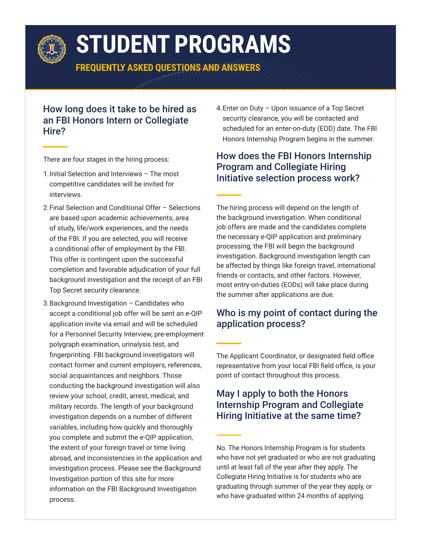

# **STUDENT PROGRAMS**

**FREQUENTLY ASKED QUESTIONS AND ANSWERS**

# How long does it take to be hired as an FBI Honors Intern or Collegiate Hire?

There are four stages in the hiring process:

- 1.Initial Selection and Interviews The most competitive candidates will be invited for interviews.
- 2.Final Selection and Conditional Offer Selections are based upon academic achievements, area of study, life/work experiences, and the needs of the FBI. If you are selected, you will receive a conditional offer of employment by the FBI. This offer is contingent upon the successful completion and favorable adjudication of your full background investigation and the receipt of an FBI Top Secret security clearance.
- 3.Background Investigation Candidates who accept a conditional job offer will be sent an e-QIP application invite via email and will be scheduled for a Personnel Security Interview, pre-employment polygraph examination, urinalysis test, and fingerprinting. FBI background investigators will contact former and current employers, references, social acquaintances and neighbors. Those conducting the background investigation will also review your school, credit, arrest, medical, and military records. The length of your background investigation depends on a number of different variables, including how quickly and thoroughly you complete and submit the e-QIP application, the extent of your foreign travel or time living abroad, and inconsistencies in the application and investigation process. Please see the Background Investigation portion of this site for more information on the FBI Background Investigation process.

4.Enter on Duty – Upon issuance of a Top Secret security clearance, you will be contacted and scheduled for an enter-on-duty (EOD) date. The FBI Honors Internship Program begins in the summer.

# How does the FBI Honors Internship Program and Collegiate Hiring Initiative selection process work?

The hiring process will depend on the length of the background investigation. When conditional job offers are made and the candidates complete the necessary e-QIP application and preliminary processing, the FBI will begin the background investigation. Background investigation length can be affected by things like foreign travel, international friends or contacts, and other factors. However, most entry-on-duties (EODs) will take place during the summer after applications are due.

# Who is my point of contact during the application process?

The Applicant Coordinator, or designated field office representative from your local FBI field office, is your point of contact throughout this process.

# May I apply to both the Honors Internship Program and Collegiate Hiring Initiative at the same time?

No. The Honors Internship Program is for students who have not yet graduated or who are not graduating until at least fall of the year after they apply. The Collegiate Hiring Initiative is for students who are graduating through summer of the year they apply, or who have graduated within 24 months of applying.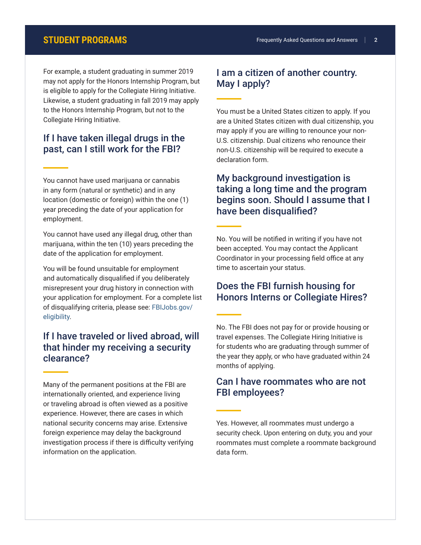For example, a student graduating in summer 2019 may not apply for the Honors Internship Program, but is eligible to apply for the Collegiate Hiring Initiative. Likewise, a student graduating in fall 2019 may apply to the Honors Internship Program, but not to the Collegiate Hiring Initiative.

#### If I have taken illegal drugs in the past, can I still work for the FBI?

You cannot have used marijuana or cannabis in any form (natural or synthetic) and in any location (domestic or foreign) within the one (1) year preceding the date of your application for employment.

You cannot have used any illegal drug, other than marijuana, within the ten (10) years preceding the date of the application for employment.

You will be found unsuitable for employment and automatically disqualified if you deliberately misrepresent your drug history in connection with your application for employment. For a complete list of disqualifying criteria, please see: [FBIJobs.gov/](http://FBIJobs.gov/eligibility) [eligibility](http://FBIJobs.gov/eligibility).

# If I have traveled or lived abroad, will that hinder my receiving a security clearance?

Many of the permanent positions at the FBI are internationally oriented, and experience living or traveling abroad is often viewed as a positive experience. However, there are cases in which national security concerns may arise. Extensive foreign experience may delay the background investigation process if there is difficulty verifying information on the application.

# I am a citizen of another country. May I apply?

You must be a United States citizen to apply. If you are a United States citizen with dual citizenship, you may apply if you are willing to renounce your non-U.S. citizenship. Dual citizens who renounce their non-U.S. citizenship will be required to execute a declaration form.

# My background investigation is taking a long time and the program begins soon. Should I assume that I have been disqualified?

No. You will be notified in writing if you have not been accepted. You may contact the Applicant Coordinator in your processing field office at any time to ascertain your status.

#### Does the FBI furnish housing for Honors Interns or Collegiate Hires?

No. The FBI does not pay for or provide housing or travel expenses. The Collegiate Hiring Initiative is for students who are graduating through summer of the year they apply, or who have graduated within 24 months of applying.

### Can I have roommates who are not FBI employees?

Yes. However, all roommates must undergo a security check. Upon entering on duty, you and your roommates must complete a roommate background data form.